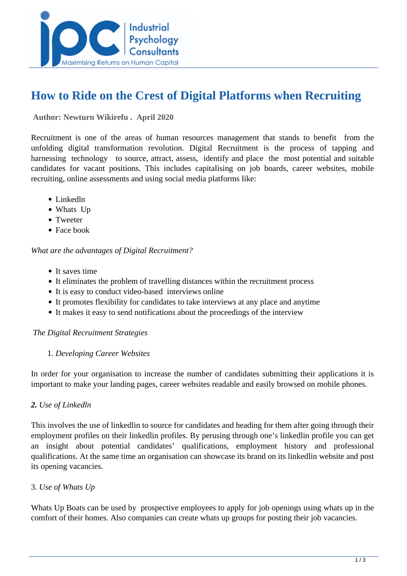

# **How to Ride on the Crest of Digital Platforms when Recruiting**

 **Author: Newturn Wikirefu . April 2020** 

Recruitment is one of the areas of human resources management that stands to benefit from the unfolding digital transformation revolution. Digital Recruitment is the process of tapping and harnessing technology to source, attract, assess, identify and place the most potential and suitable candidates for vacant positions. This includes capitalising on job boards, career websites, mobile recruiting, online assessments and using social media platforms like:

- Linkedln
- Whats Up
- Tweeter
- Face book

*What are the advantages of Digital Recruitment?*

- It saves time
- It eliminates the problem of travelling distances within the recruitment process
- It is easy to conduct video-based interviews online
- It promotes flexibility for candidates to take interviews at any place and anytime
- It makes it easy to send notifications about the proceedings of the interview

#### *The Digital Recruitment Strategies*

#### 1. *Developing Career Websites*

In order for your organisation to increase the number of candidates submitting their applications it is important to make your landing pages, career websites readable and easily browsed on mobile phones.

### *2. Use of Linkedln*

This involves the use of linkedlin to source for candidates and heading for them after going through their employment profiles on their linkedlin profiles. By perusing through one's linkedlin profile you can get an insight about potential candidates' qualifications, employment history and professional qualifications. At the same time an organisation can showcase its brand on its linkedlin website and post its opening vacancies.

### 3. *Use of Whats Up*

Whats Up Boats can be used by prospective employees to apply for job openings using whats up in the comfort of their homes. Also companies can create whats up groups for posting their job vacancies.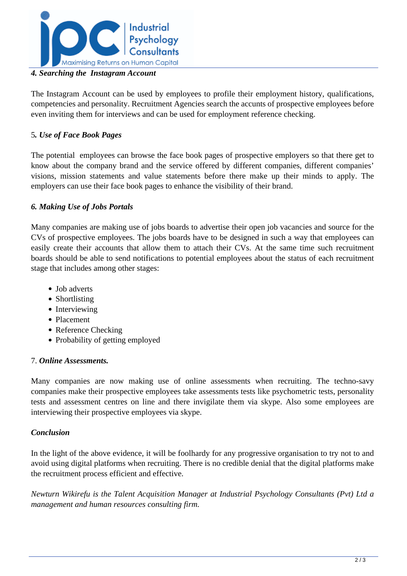

## *4. Searching the Instagram Account*

The Instagram Account can be used by employees to profile their employment history, qualifications, competencies and personality. Recruitment Agencies search the accunts of prospective employees before even inviting them for interviews and can be used for employment reference checking.

# 5*. Use of Face Book Pages*

The potential employees can browse the face book pages of prospective employers so that there get to know about the company brand and the service offered by different companies, different companies' visions, mission statements and value statements before there make up their minds to apply. The employers can use their face book pages to enhance the visibility of their brand.

# *6. Making Use of Jobs Portals*

Many companies are making use of jobs boards to advertise their open job vacancies and source for the CVs of prospective employees. The jobs boards have to be designed in such a way that employees can easily create their accounts that allow them to attach their CVs. At the same time such recruitment boards should be able to send notifications to potential employees about the status of each recruitment stage that includes among other stages:

- Job adverts
- Shortlisting
- Interviewing
- Placement
- Reference Checking
- Probability of getting employed

### 7. *Online Assessments.*

Many companies are now making use of online assessments when recruiting. The techno-savy companies make their prospective employees take assessments tests like psychometric tests, personality tests and assessment centres on line and there invigilate them via skype. Also some employees are interviewing their prospective employees via skype.

# *Conclusion*

In the light of the above evidence, it will be foolhardy for any progressive organisation to try not to and avoid using digital platforms when recruiting. There is no credible denial that the digital platforms make the recruitment process efficient and effective.

*Newturn Wikirefu is the Talent Acquisition Manager at Industrial Psychology Consultants (Pvt) Ltd a management and human resources consulting firm.*